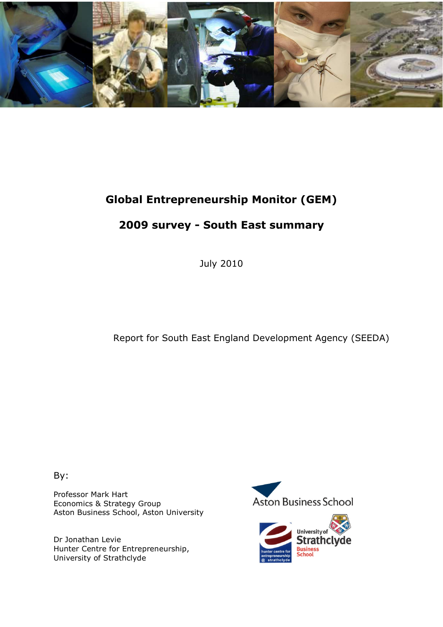

# Global Entrepreneurship Monitor (GEM)

# 2009 survey - South East summary

July 2010

Report for South East England Development Agency (SEEDA)

By:

Professor Mark Hart Economics & Strategy Group Aston Business School, Aston University

Dr Jonathan Levie Hunter Centre for Entrepreneurship, University of Strathclyde



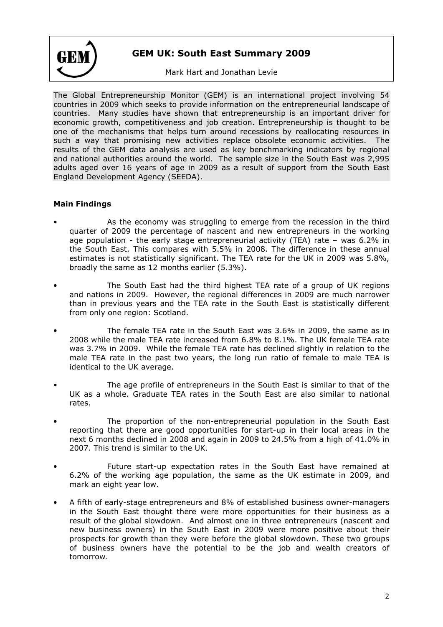

# GEM UK: South East Summary 2009

# Mark Hart and Jonathan Levie

The Global Entrepreneurship Monitor (GEM) is an international project involving 54 countries in 2009 which seeks to provide information on the entrepreneurial landscape of countries. Many studies have shown that entrepreneurship is an important driver for economic growth, competitiveness and job creation. Entrepreneurship is thought to be one of the mechanisms that helps turn around recessions by reallocating resources in such a way that promising new activities replace obsolete economic activities. The results of the GEM data analysis are used as key benchmarking indicators by regional and national authorities around the world. The sample size in the South East was 2,995 adults aged over 16 years of age in 2009 as a result of support from the South East England Development Agency (SEEDA).

# Main Findings

- As the economy was struggling to emerge from the recession in the third quarter of 2009 the percentage of nascent and new entrepreneurs in the working age population - the early stage entrepreneurial activity (TEA) rate – was 6.2% in the South East. This compares with 5.5% in 2008. The difference in these annual estimates is not statistically significant. The TEA rate for the UK in 2009 was 5.8%, broadly the same as 12 months earlier (5.3%).
- The South East had the third highest TEA rate of a group of UK regions and nations in 2009. However, the regional differences in 2009 are much narrower than in previous years and the TEA rate in the South East is statistically different from only one region: Scotland.
- The female TEA rate in the South East was 3.6% in 2009, the same as in 2008 while the male TEA rate increased from 6.8% to 8.1%. The UK female TEA rate was 3.7% in 2009. While the female TEA rate has declined slightly in relation to the male TEA rate in the past two years, the long run ratio of female to male TEA is identical to the UK average.
- The age profile of entrepreneurs in the South East is similar to that of the UK as a whole. Graduate TEA rates in the South East are also similar to national rates.
- The proportion of the non-entrepreneurial population in the South East reporting that there are good opportunities for start-up in their local areas in the next 6 months declined in 2008 and again in 2009 to 24.5% from a high of 41.0% in 2007. This trend is similar to the UK.
- Future start-up expectation rates in the South East have remained at 6.2% of the working age population, the same as the UK estimate in 2009, and mark an eight year low.
- A fifth of early-stage entrepreneurs and 8% of established business owner-managers in the South East thought there were more opportunities for their business as a result of the global slowdown. And almost one in three entrepreneurs (nascent and new business owners) in the South East in 2009 were more positive about their prospects for growth than they were before the global slowdown. These two groups of business owners have the potential to be the job and wealth creators of tomorrow.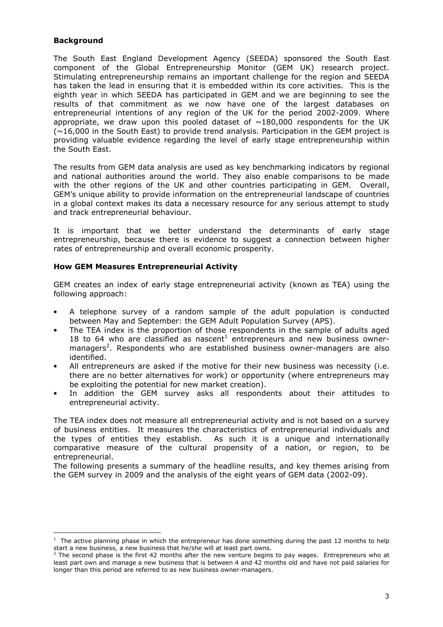#### Background

 $\overline{a}$ 

The South East England Development Agency (SEEDA) sponsored the South East component of the Global Entrepreneurship Monitor (GEM UK) research project. Stimulating entrepreneurship remains an important challenge for the region and SEEDA has taken the lead in ensuring that it is embedded within its core activities. This is the eighth year in which SEEDA has participated in GEM and we are beginning to see the results of that commitment as we now have one of the largest databases on entrepreneurial intentions of any region of the UK for the period 2002-2009. Where appropriate, we draw upon this pooled dataset of  $\sim$ 180,000 respondents for the UK  $(\sim16,000$  in the South East) to provide trend analysis. Participation in the GEM project is providing valuable evidence regarding the level of early stage entrepreneurship within the South East.

The results from GEM data analysis are used as key benchmarking indicators by regional and national authorities around the world. They also enable comparisons to be made with the other regions of the UK and other countries participating in GEM. Overall, GEM's unique ability to provide information on the entrepreneurial landscape of countries in a global context makes its data a necessary resource for any serious attempt to study and track entrepreneurial behaviour.

It is important that we better understand the determinants of early stage entrepreneurship, because there is evidence to suggest a connection between higher rates of entrepreneurship and overall economic prosperity.

#### How GEM Measures Entrepreneurial Activity

GEM creates an index of early stage entrepreneurial activity (known as TEA) using the following approach:

- A telephone survey of a random sample of the adult population is conducted between May and September: the GEM Adult Population Survey (APS).
- The TEA index is the proportion of those respondents in the sample of adults aged 18 to 64 who are classified as nascent<sup>1</sup> entrepreneurs and new business ownermanagers<sup>2</sup>. Respondents who are established business owner-managers are also identified.
- All entrepreneurs are asked if the motive for their new business was necessity (i.e. there are no better alternatives for work) or opportunity (where entrepreneurs may be exploiting the potential for new market creation).
- In addition the GEM survey asks all respondents about their attitudes to entrepreneurial activity.

The TEA index does not measure all entrepreneurial activity and is not based on a survey of business entities. It measures the characteristics of entrepreneurial individuals and the types of entities they establish. As such it is a unique and internationally comparative measure of the cultural propensity of a nation, or region, to be entrepreneurial.

The following presents a summary of the headline results, and key themes arising from the GEM survey in 2009 and the analysis of the eight years of GEM data (2002-09).

 $<sup>1</sup>$  The active planning phase in which the entrepreneur has done something during the past 12 months to help</sup> start a new business, a new business that he/she will at least part owns.

<sup>2</sup> The second phase is the first 42 months after the new venture begins to pay wages. Entrepreneurs who at least part own and manage a new business that is between 4 and 42 months old and have not paid salaries for longer than this period are referred to as new business owner-managers.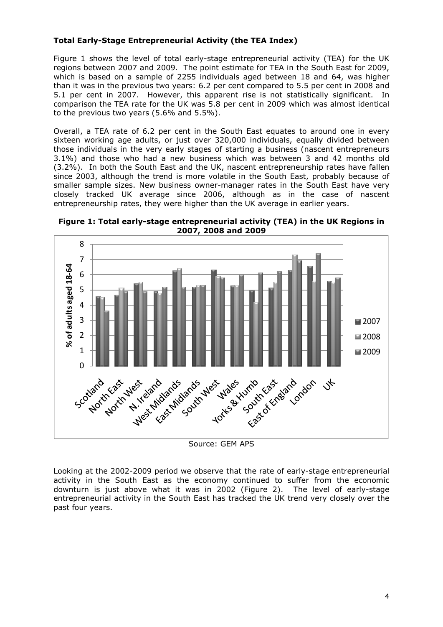# Total Early-Stage Entrepreneurial Activity (the TEA Index)

Figure 1 shows the level of total early-stage entrepreneurial activity (TEA) for the UK regions between 2007 and 2009. The point estimate for TEA in the South East for 2009, which is based on a sample of 2255 individuals aged between 18 and 64, was higher than it was in the previous two years: 6.2 per cent compared to 5.5 per cent in 2008 and 5.1 per cent in 2007. However, this apparent rise is not statistically significant. In comparison the TEA rate for the UK was 5.8 per cent in 2009 which was almost identical to the previous two years (5.6% and 5.5%).

Overall, a TEA rate of 6.2 per cent in the South East equates to around one in every sixteen working age adults, or just over 320,000 individuals, equally divided between those individuals in the very early stages of starting a business (nascent entrepreneurs 3.1%) and those who had a new business which was between 3 and 42 months old (3.2%). In both the South East and the UK, nascent entrepreneurship rates have fallen since 2003, although the trend is more volatile in the South East, probably because of smaller sample sizes. New business owner-manager rates in the South East have very closely tracked UK average since 2006, although as in the case of nascent entrepreneurship rates, they were higher than the UK average in earlier years.



Figure 1: Total early-stage entrepreneurial activity (TEA) in the UK Regions in 2007, 2008 and 2009

Source: GEM APS

Looking at the 2002-2009 period we observe that the rate of early-stage entrepreneurial activity in the South East as the economy continued to suffer from the economic downturn is just above what it was in 2002 (Figure 2). The level of early-stage entrepreneurial activity in the South East has tracked the UK trend very closely over the past four years.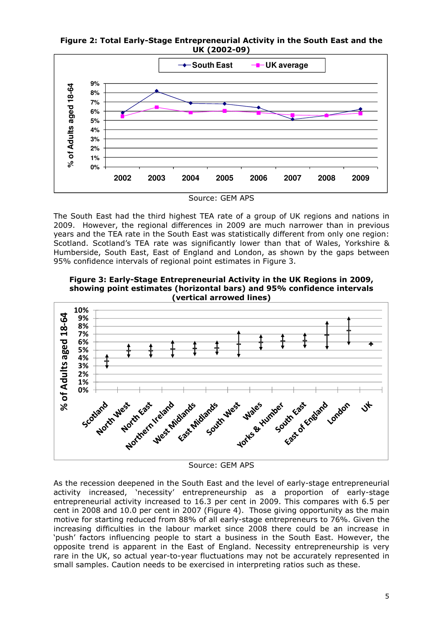Figure 2: Total Early-Stage Entrepreneurial Activity in the South East and the UK (2002-09)



The South East had the third highest TEA rate of a group of UK regions and nations in 2009. However, the regional differences in 2009 are much narrower than in previous years and the TEA rate in the South East was statistically different from only one region: Scotland. Scotland's TEA rate was significantly lower than that of Wales, Yorkshire & Humberside, South East, East of England and London, as shown by the gaps between 95% confidence intervals of regional point estimates in Figure 3.

Figure 3: Early-Stage Entrepreneurial Activity in the UK Regions in 2009, showing point estimates (horizontal bars) and 95% confidence intervals (vertical arrowed lines)



Source: GEM APS

As the recession deepened in the South East and the level of early-stage entrepreneurial activity increased, 'necessity' entrepreneurship as a proportion of early-stage entrepreneurial activity increased to 16.3 per cent in 2009. This compares with 6.5 per cent in 2008 and 10.0 per cent in 2007 (Figure 4). Those giving opportunity as the main motive for starting reduced from 88% of all early-stage entrepreneurs to 76%. Given the increasing difficulties in the labour market since 2008 there could be an increase in 'push' factors influencing people to start a business in the South East. However, the opposite trend is apparent in the East of England. Necessity entrepreneurship is very rare in the UK, so actual year-to-year fluctuations may not be accurately represented in small samples. Caution needs to be exercised in interpreting ratios such as these.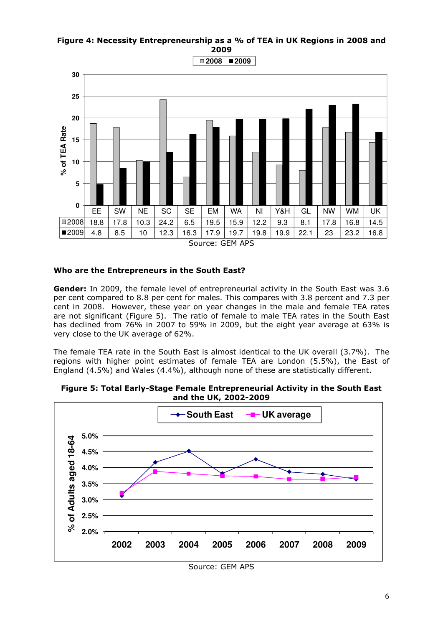Figure 4: Necessity Entrepreneurship as a % of TEA in UK Regions in 2008 and 2009



#### Who are the Entrepreneurs in the South East?

Gender: In 2009, the female level of entrepreneurial activity in the South East was 3.6 per cent compared to 8.8 per cent for males. This compares with 3.8 percent and 7.3 per cent in 2008. However, these year on year changes in the male and female TEA rates are not significant (Figure 5). The ratio of female to male TEA rates in the South East has declined from 76% in 2007 to 59% in 2009, but the eight year average at 63% is very close to the UK average of 62%.

The female TEA rate in the South East is almost identical to the UK overall (3.7%). The regions with higher point estimates of female TEA are London (5.5%), the East of England (4.5%) and Wales (4.4%), although none of these are statistically different.



Figure 5: Total Early-Stage Female Entrepreneurial Activity in the South East and the UK, 2002-2009

Source: GEM APS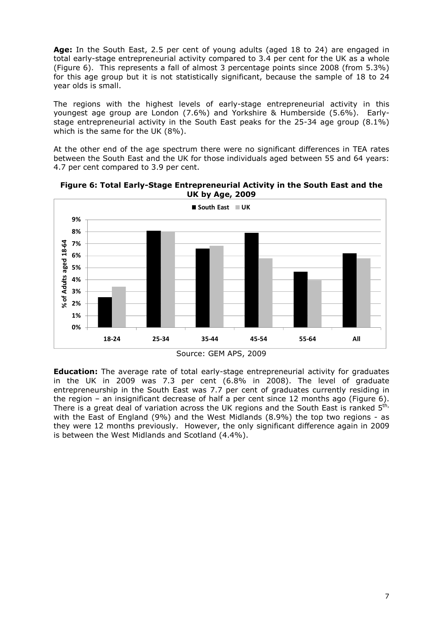Age: In the South East, 2.5 per cent of young adults (aged 18 to 24) are engaged in total early-stage entrepreneurial activity compared to 3.4 per cent for the UK as a whole (Figure 6). This represents a fall of almost 3 percentage points since 2008 (from 5.3%) for this age group but it is not statistically significant, because the sample of 18 to 24 year olds is small.

The regions with the highest levels of early-stage entrepreneurial activity in this youngest age group are London (7.6%) and Yorkshire & Humberside (5.6%). Earlystage entrepreneurial activity in the South East peaks for the 25-34 age group (8.1%) which is the same for the UK (8%).

At the other end of the age spectrum there were no significant differences in TEA rates between the South East and the UK for those individuals aged between 55 and 64 years: 4.7 per cent compared to 3.9 per cent.



Figure 6: Total Early-Stage Entrepreneurial Activity in the South East and the UK by Age, 2009



**Education:** The average rate of total early-stage entrepreneurial activity for graduates in the UK in 2009 was 7.3 per cent (6.8% in 2008). The level of graduate entrepreneurship in the South East was 7.7 per cent of graduates currently residing in the region – an insignificant decrease of half a per cent since 12 months ago (Figure 6). There is a great deal of variation across the UK regions and the South East is ranked  $5<sup>th</sup>$ , with the East of England (9%) and the West Midlands (8.9%) the top two regions - as they were 12 months previously. However, the only significant difference again in 2009 is between the West Midlands and Scotland (4.4%).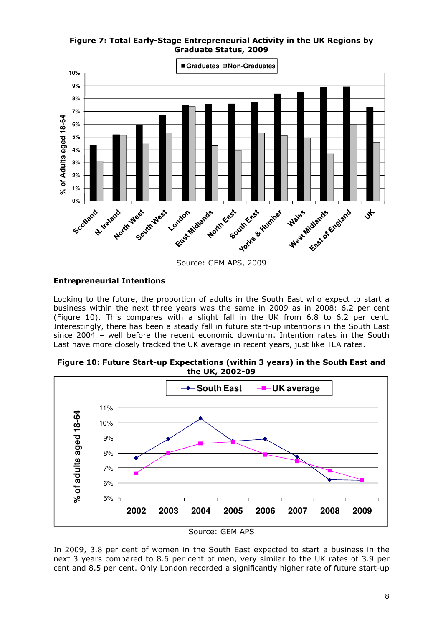# Figure 7: Total Early-Stage Entrepreneurial Activity in the UK Regions by Graduate Status, 2009



# Entrepreneurial Intentions

Looking to the future, the proportion of adults in the South East who expect to start a business within the next three years was the same in 2009 as in 2008: 6.2 per cent (Figure 10). This compares with a slight fall in the UK from 6.8 to 6.2 per cent. Interestingly, there has been a steady fall in future start-up intentions in the South East since 2004 – well before the recent economic downturn. Intention rates in the South East have more closely tracked the UK average in recent years, just like TEA rates.

Figure 10: Future Start-up Expectations (within 3 years) in the South East and the UK, 2002-09



In 2009, 3.8 per cent of women in the South East expected to start a business in the next 3 years compared to 8.6 per cent of men, very similar to the UK rates of 3.9 per cent and 8.5 per cent. Only London recorded a significantly higher rate of future start-up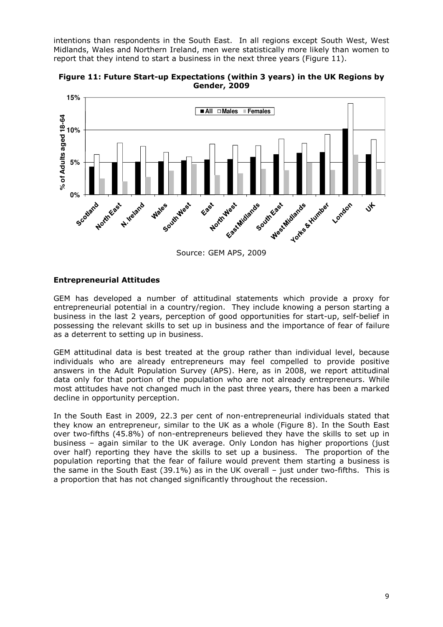intentions than respondents in the South East. In all regions except South West, West Midlands, Wales and Northern Ireland, men were statistically more likely than women to report that they intend to start a business in the next three years (Figure 11).



Figure 11: Future Start-up Expectations (within 3 years) in the UK Regions by Gender, 2009

#### Entrepreneurial Attitudes

GEM has developed a number of attitudinal statements which provide a proxy for entrepreneurial potential in a country/region. They include knowing a person starting a business in the last 2 years, perception of good opportunities for start-up, self-belief in possessing the relevant skills to set up in business and the importance of fear of failure as a deterrent to setting up in business.

GEM attitudinal data is best treated at the group rather than individual level, because individuals who are already entrepreneurs may feel compelled to provide positive answers in the Adult Population Survey (APS). Here, as in 2008, we report attitudinal data only for that portion of the population who are not already entrepreneurs. While most attitudes have not changed much in the past three years, there has been a marked decline in opportunity perception.

In the South East in 2009, 22.3 per cent of non-entrepreneurial individuals stated that they know an entrepreneur, similar to the UK as a whole (Figure 8). In the South East over two-fifths (45.8%) of non-entrepreneurs believed they have the skills to set up in business – again similar to the UK average. Only London has higher proportions (just over half) reporting they have the skills to set up a business. The proportion of the population reporting that the fear of failure would prevent them starting a business is the same in the South East (39.1%) as in the UK overall – just under two-fifths. This is a proportion that has not changed significantly throughout the recession.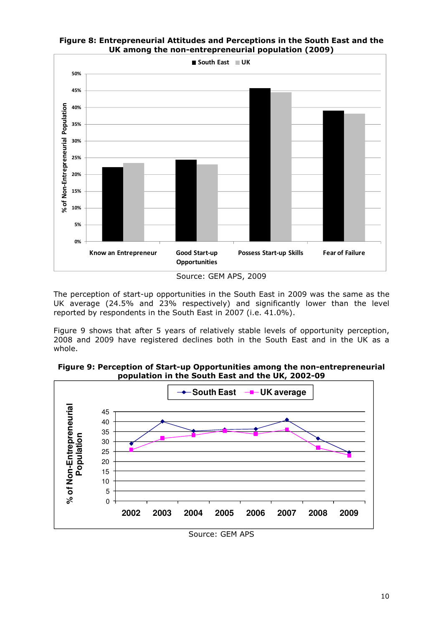



Source: GEM APS, 2009

The perception of start-up opportunities in the South East in 2009 was the same as the UK average (24.5% and 23% respectively) and significantly lower than the level reported by respondents in the South East in 2007 (i.e. 41.0%).

Figure 9 shows that after 5 years of relatively stable levels of opportunity perception, 2008 and 2009 have registered declines both in the South East and in the UK as a whole.





Source: GEM APS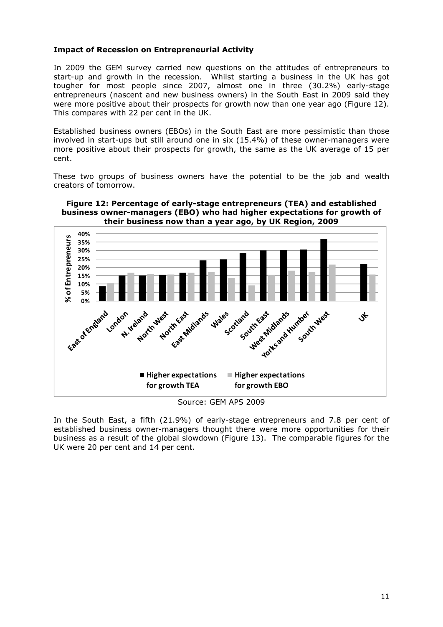#### Impact of Recession on Entrepreneurial Activity

In 2009 the GEM survey carried new questions on the attitudes of entrepreneurs to start-up and growth in the recession. Whilst starting a business in the UK has got tougher for most people since 2007, almost one in three (30.2%) early-stage entrepreneurs (nascent and new business owners) in the South East in 2009 said they were more positive about their prospects for growth now than one year ago (Figure 12). This compares with 22 per cent in the UK.

Established business owners (EBOs) in the South East are more pessimistic than those involved in start-ups but still around one in six (15.4%) of these owner-managers were more positive about their prospects for growth, the same as the UK average of 15 per cent.

These two groups of business owners have the potential to be the job and wealth creators of tomorrow.





Source: GEM APS 2009

In the South East, a fifth (21.9%) of early-stage entrepreneurs and 7.8 per cent of established business owner-managers thought there were more opportunities for their business as a result of the global slowdown (Figure 13). The comparable figures for the UK were 20 per cent and 14 per cent.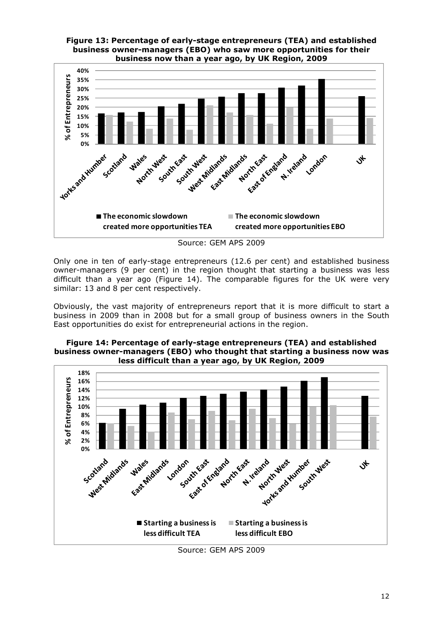

Figure 13: Percentage of early-stage entrepreneurs (TEA) and established

Source: GEM APS 2009

Only one in ten of early-stage entrepreneurs (12.6 per cent) and established business owner-managers (9 per cent) in the region thought that starting a business was less difficult than a year ago (Figure 14). The comparable figures for the UK were very similar: 13 and 8 per cent respectively.

Obviously, the vast majority of entrepreneurs report that it is more difficult to start a business in 2009 than in 2008 but for a small group of business owners in the South East opportunities do exist for entrepreneurial actions in the region.





Source: GEM APS 2009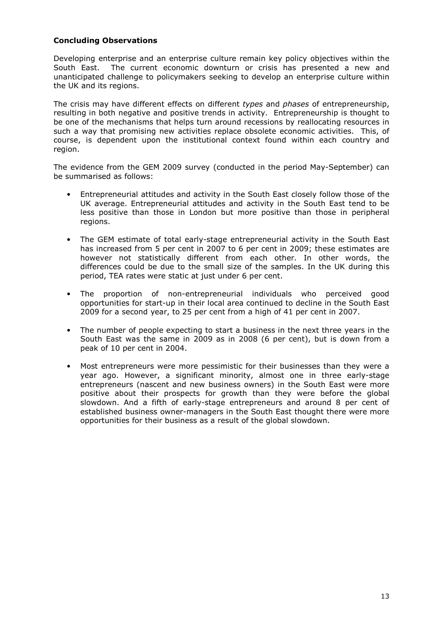#### Concluding Observations

Developing enterprise and an enterprise culture remain key policy objectives within the South East. The current economic downturn or crisis has presented a new and unanticipated challenge to policymakers seeking to develop an enterprise culture within the UK and its regions.

The crisis may have different effects on different types and phases of entrepreneurship, resulting in both negative and positive trends in activity. Entrepreneurship is thought to be one of the mechanisms that helps turn around recessions by reallocating resources in such a way that promising new activities replace obsolete economic activities. This, of course, is dependent upon the institutional context found within each country and region.

The evidence from the GEM 2009 survey (conducted in the period May-September) can be summarised as follows:

- Entrepreneurial attitudes and activity in the South East closely follow those of the UK average. Entrepreneurial attitudes and activity in the South East tend to be less positive than those in London but more positive than those in peripheral regions.
- The GEM estimate of total early-stage entrepreneurial activity in the South East has increased from 5 per cent in 2007 to 6 per cent in 2009; these estimates are however not statistically different from each other. In other words, the differences could be due to the small size of the samples. In the UK during this period, TEA rates were static at just under 6 per cent.
- The proportion of non-entrepreneurial individuals who perceived good opportunities for start-up in their local area continued to decline in the South East 2009 for a second year, to 25 per cent from a high of 41 per cent in 2007.
- The number of people expecting to start a business in the next three years in the South East was the same in 2009 as in 2008 (6 per cent), but is down from a peak of 10 per cent in 2004.
- Most entrepreneurs were more pessimistic for their businesses than they were a year ago. However, a significant minority, almost one in three early-stage entrepreneurs (nascent and new business owners) in the South East were more positive about their prospects for growth than they were before the global slowdown. And a fifth of early-stage entrepreneurs and around 8 per cent of established business owner-managers in the South East thought there were more opportunities for their business as a result of the global slowdown.